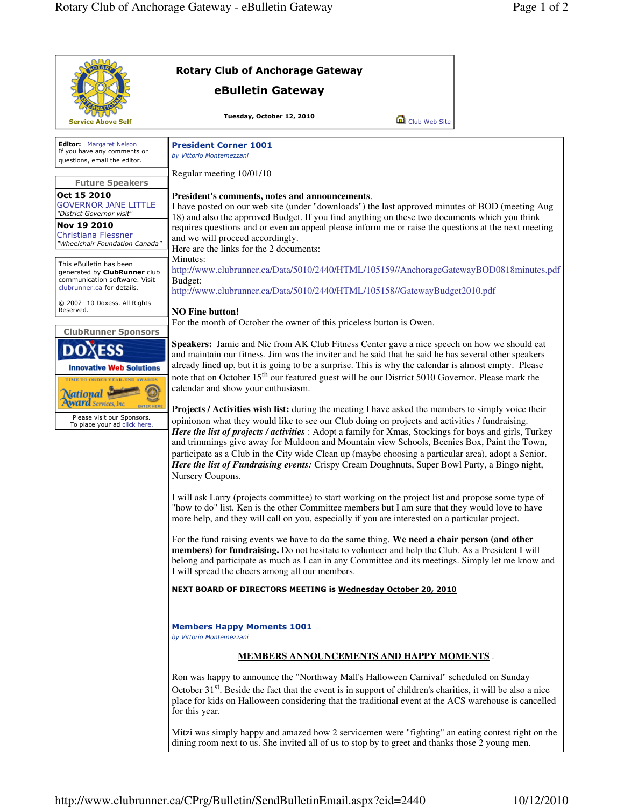|                                                                                                                                                                                                                                    | <b>Rotary Club of Anchorage Gateway</b>                                                                                                                                                                                                                                                                                                                                                                                                                                                                                                                                                                                                                                                                                                                                                                                                                                                                                                                                                                                                                                                                                                                                                                                                                                                                                                                                                                                                                                                                                                                                                                                                                                                                                                                                                                                                                                                                                                                                                                                                                                                                                                                                                                                                                                                                                                                                                                                                                                                  |  |  |
|------------------------------------------------------------------------------------------------------------------------------------------------------------------------------------------------------------------------------------|------------------------------------------------------------------------------------------------------------------------------------------------------------------------------------------------------------------------------------------------------------------------------------------------------------------------------------------------------------------------------------------------------------------------------------------------------------------------------------------------------------------------------------------------------------------------------------------------------------------------------------------------------------------------------------------------------------------------------------------------------------------------------------------------------------------------------------------------------------------------------------------------------------------------------------------------------------------------------------------------------------------------------------------------------------------------------------------------------------------------------------------------------------------------------------------------------------------------------------------------------------------------------------------------------------------------------------------------------------------------------------------------------------------------------------------------------------------------------------------------------------------------------------------------------------------------------------------------------------------------------------------------------------------------------------------------------------------------------------------------------------------------------------------------------------------------------------------------------------------------------------------------------------------------------------------------------------------------------------------------------------------------------------------------------------------------------------------------------------------------------------------------------------------------------------------------------------------------------------------------------------------------------------------------------------------------------------------------------------------------------------------------------------------------------------------------------------------------------------------|--|--|
|                                                                                                                                                                                                                                    | eBulletin Gateway                                                                                                                                                                                                                                                                                                                                                                                                                                                                                                                                                                                                                                                                                                                                                                                                                                                                                                                                                                                                                                                                                                                                                                                                                                                                                                                                                                                                                                                                                                                                                                                                                                                                                                                                                                                                                                                                                                                                                                                                                                                                                                                                                                                                                                                                                                                                                                                                                                                                        |  |  |
| <b>Service Above Self</b>                                                                                                                                                                                                          | Tuesday, October 12, 2010<br>Club Web Site                                                                                                                                                                                                                                                                                                                                                                                                                                                                                                                                                                                                                                                                                                                                                                                                                                                                                                                                                                                                                                                                                                                                                                                                                                                                                                                                                                                                                                                                                                                                                                                                                                                                                                                                                                                                                                                                                                                                                                                                                                                                                                                                                                                                                                                                                                                                                                                                                                               |  |  |
| <b>Editor:</b> Margaret Nelson<br>If you have any comments or<br>questions, email the editor.                                                                                                                                      | <b>President Corner 1001</b><br>by Vittorio Montemezzani                                                                                                                                                                                                                                                                                                                                                                                                                                                                                                                                                                                                                                                                                                                                                                                                                                                                                                                                                                                                                                                                                                                                                                                                                                                                                                                                                                                                                                                                                                                                                                                                                                                                                                                                                                                                                                                                                                                                                                                                                                                                                                                                                                                                                                                                                                                                                                                                                                 |  |  |
| <b>Future Speakers</b>                                                                                                                                                                                                             | Regular meeting 10/01/10                                                                                                                                                                                                                                                                                                                                                                                                                                                                                                                                                                                                                                                                                                                                                                                                                                                                                                                                                                                                                                                                                                                                                                                                                                                                                                                                                                                                                                                                                                                                                                                                                                                                                                                                                                                                                                                                                                                                                                                                                                                                                                                                                                                                                                                                                                                                                                                                                                                                 |  |  |
| Oct 15 2010<br><b>GOVERNOR JANE LITTLE</b><br>"District Governor visit"                                                                                                                                                            | President's comments, notes and announcements.<br>I have posted on our web site (under "downloads") the last approved minutes of BOD (meeting Aug<br>18) and also the approved Budget. If you find anything on these two documents which you think<br>requires questions and or even an appeal please inform me or raise the questions at the next meeting<br>and we will proceed accordingly.<br>Here are the links for the 2 documents:<br>Minutes:<br>http://www.clubrunner.ca/Data/5010/2440/HTML/105159//AnchorageGatewayBOD0818minutes.pdf<br>Budget:<br>http://www.clubrunner.ca/Data/5010/2440/HTML/105158//GatewayBudget2010.pdf<br><b>NO Fine button!</b><br>For the month of October the owner of this priceless button is Owen.<br><b>Speakers:</b> Jamie and Nic from AK Club Fitness Center gave a nice speech on how we should eat<br>and maintain our fitness. Jim was the inviter and he said that he said he has several other speakers<br>already lined up, but it is going to be a surprise. This is why the calendar is almost empty. Please<br>note that on October 15 <sup>th</sup> our featured guest will be our District 5010 Governor. Please mark the<br>calendar and show your enthusiasm.<br>Projects / Activities wish list: during the meeting I have asked the members to simply voice their<br>opinionon what they would like to see our Club doing on projects and activities / fundraising.<br>Here the list of projects / activities : Adopt a family for Xmas, Stockings for boys and girls, Turkey<br>and trimmings give away for Muldoon and Mountain view Schools, Beenies Box, Paint the Town,<br>participate as a Club in the City wide Clean up (maybe choosing a particular area), adopt a Senior.<br>Here the list of Fundraising events: Crispy Cream Doughnuts, Super Bowl Party, a Bingo night,<br>Nursery Coupons.<br>I will ask Larry (projects committee) to start working on the project list and propose some type of<br>"how to do" list. Ken is the other Committee members but I am sure that they would love to have<br>more help, and they will call on you, especially if you are interested on a particular project.<br>For the fund raising events we have to do the same thing. We need a chair person (and other<br>members) for fundraising. Do not hesitate to volunteer and help the Club. As a President I will<br>belong and participate as much as I can in any Committee and its meetings. Simply let me know and |  |  |
| Nov 19 2010<br><b>Christiana Flessner</b><br>"Wheelchair Foundation Canada"                                                                                                                                                        |                                                                                                                                                                                                                                                                                                                                                                                                                                                                                                                                                                                                                                                                                                                                                                                                                                                                                                                                                                                                                                                                                                                                                                                                                                                                                                                                                                                                                                                                                                                                                                                                                                                                                                                                                                                                                                                                                                                                                                                                                                                                                                                                                                                                                                                                                                                                                                                                                                                                                          |  |  |
| This eBulletin has been<br>generated by ClubRunner club<br>communication software. Visit<br>clubrunner.ca for details.                                                                                                             |                                                                                                                                                                                                                                                                                                                                                                                                                                                                                                                                                                                                                                                                                                                                                                                                                                                                                                                                                                                                                                                                                                                                                                                                                                                                                                                                                                                                                                                                                                                                                                                                                                                                                                                                                                                                                                                                                                                                                                                                                                                                                                                                                                                                                                                                                                                                                                                                                                                                                          |  |  |
| © 2002- 10 Doxess. All Rights<br>Reserved.                                                                                                                                                                                         |                                                                                                                                                                                                                                                                                                                                                                                                                                                                                                                                                                                                                                                                                                                                                                                                                                                                                                                                                                                                                                                                                                                                                                                                                                                                                                                                                                                                                                                                                                                                                                                                                                                                                                                                                                                                                                                                                                                                                                                                                                                                                                                                                                                                                                                                                                                                                                                                                                                                                          |  |  |
| <b>ClubRunner Sponsors</b><br><b>Innovative Web Solutions</b><br>TIME TO ORDER YEAR-END AWARDS<br><b>Vational</b><br><b>ward</b> Services, Inc.<br><b>ENTER HERI</b><br>Please visit our Sponsors.<br>To place your ad click here. |                                                                                                                                                                                                                                                                                                                                                                                                                                                                                                                                                                                                                                                                                                                                                                                                                                                                                                                                                                                                                                                                                                                                                                                                                                                                                                                                                                                                                                                                                                                                                                                                                                                                                                                                                                                                                                                                                                                                                                                                                                                                                                                                                                                                                                                                                                                                                                                                                                                                                          |  |  |
|                                                                                                                                                                                                                                    | I will spread the cheers among all our members.<br>NEXT BOARD OF DIRECTORS MEETING is Wednesday October 20, 2010                                                                                                                                                                                                                                                                                                                                                                                                                                                                                                                                                                                                                                                                                                                                                                                                                                                                                                                                                                                                                                                                                                                                                                                                                                                                                                                                                                                                                                                                                                                                                                                                                                                                                                                                                                                                                                                                                                                                                                                                                                                                                                                                                                                                                                                                                                                                                                         |  |  |
|                                                                                                                                                                                                                                    | <b>Members Happy Moments 1001</b><br>by Vittorio Montemezzani                                                                                                                                                                                                                                                                                                                                                                                                                                                                                                                                                                                                                                                                                                                                                                                                                                                                                                                                                                                                                                                                                                                                                                                                                                                                                                                                                                                                                                                                                                                                                                                                                                                                                                                                                                                                                                                                                                                                                                                                                                                                                                                                                                                                                                                                                                                                                                                                                            |  |  |
|                                                                                                                                                                                                                                    | <b>MEMBERS ANNOUNCEMENTS AND HAPPY MOMENTS.</b>                                                                                                                                                                                                                                                                                                                                                                                                                                                                                                                                                                                                                                                                                                                                                                                                                                                                                                                                                                                                                                                                                                                                                                                                                                                                                                                                                                                                                                                                                                                                                                                                                                                                                                                                                                                                                                                                                                                                                                                                                                                                                                                                                                                                                                                                                                                                                                                                                                          |  |  |
|                                                                                                                                                                                                                                    | Ron was happy to announce the "Northway Mall's Halloween Carnival" scheduled on Sunday<br>October 31 <sup>st</sup> . Beside the fact that the event is in support of children's charities, it will be also a nice<br>place for kids on Halloween considering that the traditional event at the ACS warehouse is cancelled<br>for this year.                                                                                                                                                                                                                                                                                                                                                                                                                                                                                                                                                                                                                                                                                                                                                                                                                                                                                                                                                                                                                                                                                                                                                                                                                                                                                                                                                                                                                                                                                                                                                                                                                                                                                                                                                                                                                                                                                                                                                                                                                                                                                                                                              |  |  |
|                                                                                                                                                                                                                                    | Mitzi was simply happy and amazed how 2 servicemen were "fighting" an eating contest right on the<br>dining room next to us. She invited all of us to stop by to greet and thanks those 2 young men.                                                                                                                                                                                                                                                                                                                                                                                                                                                                                                                                                                                                                                                                                                                                                                                                                                                                                                                                                                                                                                                                                                                                                                                                                                                                                                                                                                                                                                                                                                                                                                                                                                                                                                                                                                                                                                                                                                                                                                                                                                                                                                                                                                                                                                                                                     |  |  |